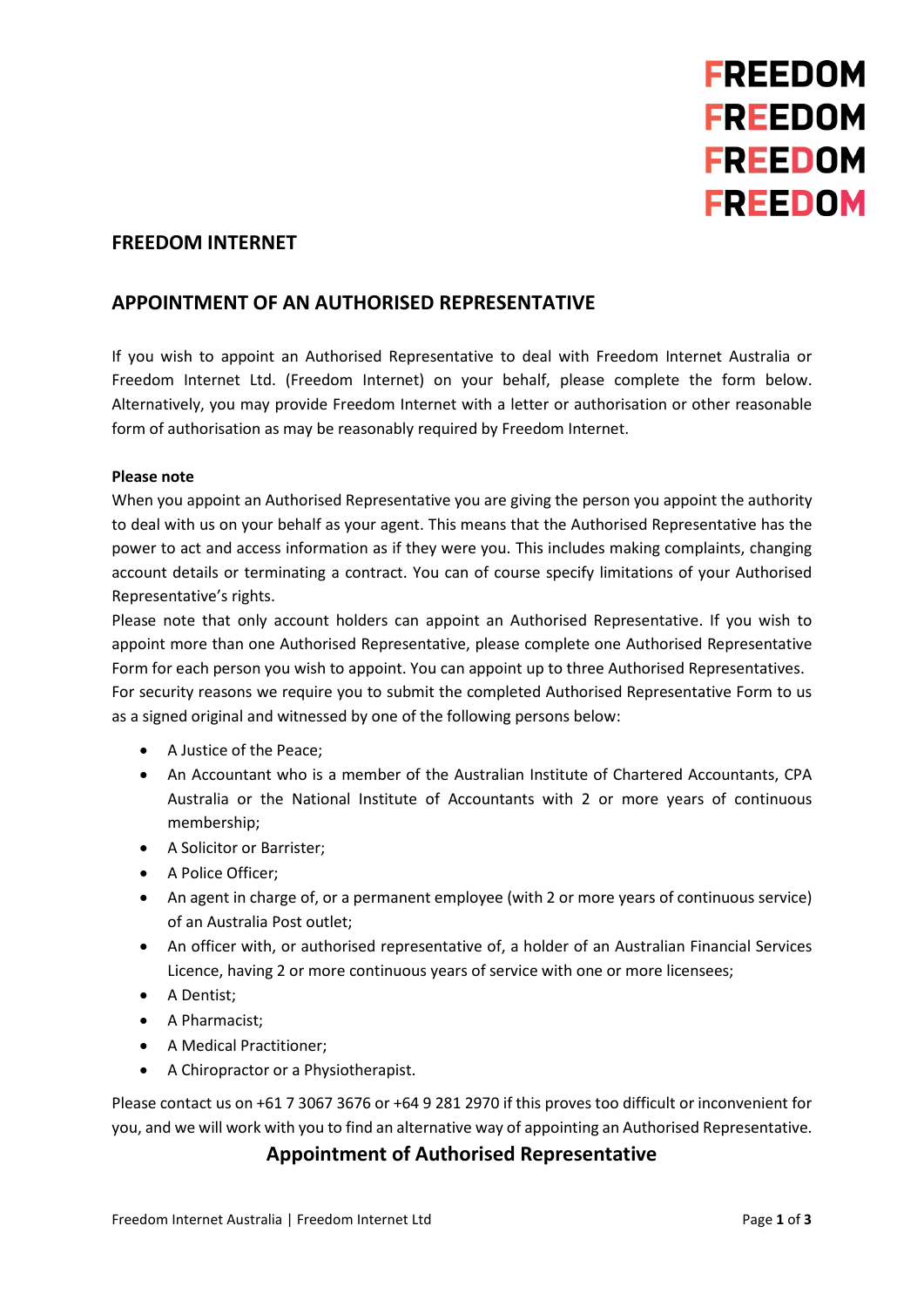

### **FREEDOM INTERNET**

# **APPOINTMENT OF AN AUTHORISED REPRESENTATIVE**

If you wish to appoint an Authorised Representative to deal with Freedom Internet Australia or Freedom Internet Ltd. (Freedom Internet) on your behalf, please complete the form below. Alternatively, you may provide Freedom Internet with a letter or authorisation or other reasonable form of authorisation as may be reasonably required by Freedom Internet.

#### **Please note**

When you appoint an Authorised Representative you are giving the person you appoint the authority to deal with us on your behalf as your agent. This means that the Authorised Representative has the power to act and access information as if they were you. This includes making complaints, changing account details or terminating a contract. You can of course specify limitations of your Authorised Representative's rights.

Please note that only account holders can appoint an Authorised Representative. If you wish to appoint more than one Authorised Representative, please complete one Authorised Representative Form for each person you wish to appoint. You can appoint up to three Authorised Representatives. For security reasons we require you to submit the completed Authorised Representative Form to us as a signed original and witnessed by one of the following persons below:

- A Justice of the Peace;
- An Accountant who is a member of the Australian Institute of Chartered Accountants, CPA Australia or the National Institute of Accountants with 2 or more years of continuous membership;
- A Solicitor or Barrister;
- A Police Officer;
- An agent in charge of, or a permanent employee (with 2 or more years of continuous service) of an Australia Post outlet;
- An officer with, or authorised representative of, a holder of an Australian Financial Services Licence, having 2 or more continuous years of service with one or more licensees;
- A Dentist;
- A Pharmacist;
- A Medical Practitioner;
- A Chiropractor or a Physiotherapist.

Please contact us on +61 7 3067 3676 or +64 9 281 2970 if this proves too difficult or inconvenient for you, and we will work with you to find an alternative way of appointing an Authorised Representative.

## **Appointment of Authorised Representative**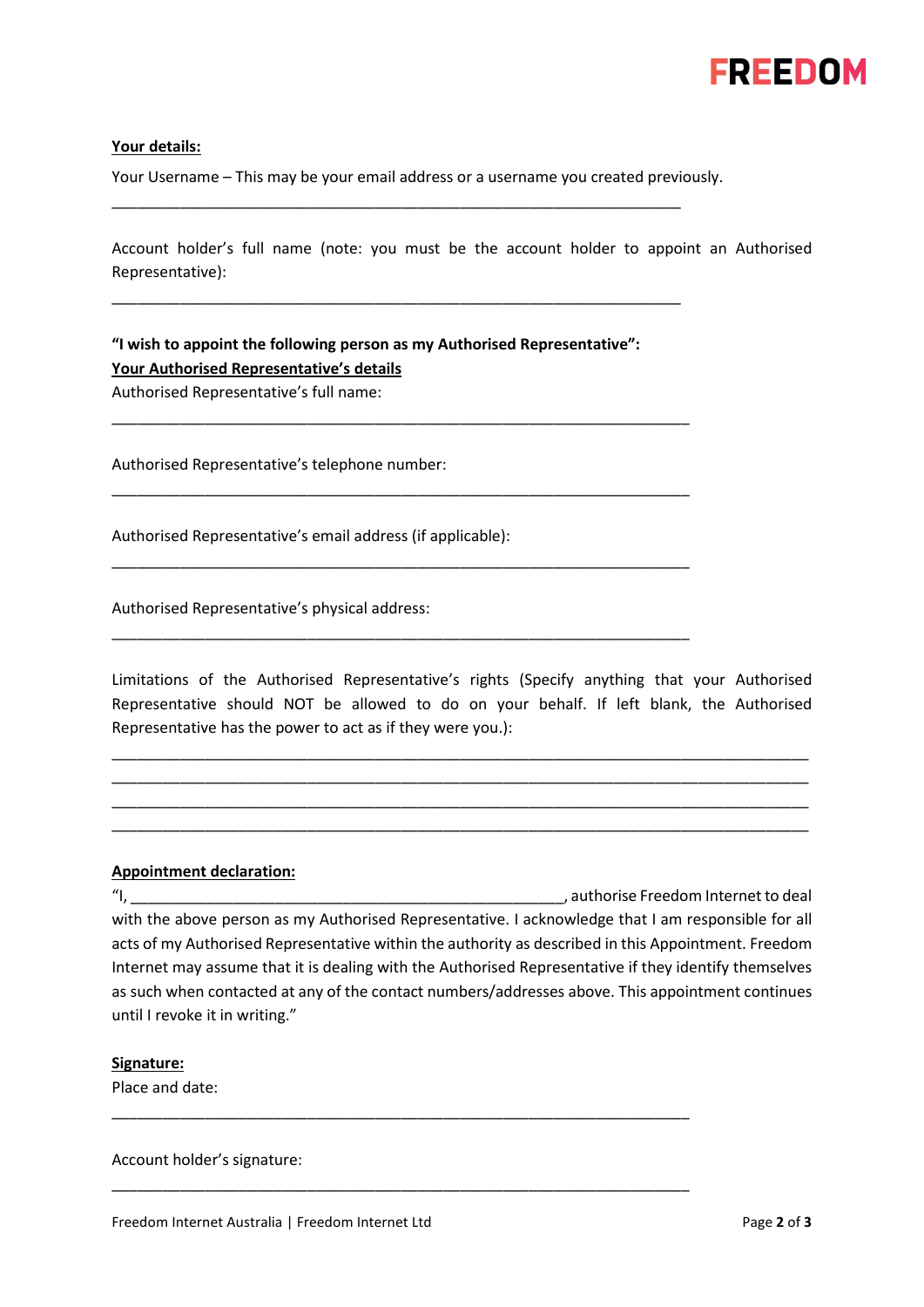

#### **Your details:**

Your Username – This may be your email address or a username you created previously.

\_\_\_\_\_\_\_\_\_\_\_\_\_\_\_\_\_\_\_\_\_\_\_\_\_\_\_\_\_\_\_\_\_\_\_\_\_\_\_\_\_\_\_\_\_\_\_\_\_\_\_\_\_\_\_\_\_\_\_\_\_\_\_\_\_\_\_

\_\_\_\_\_\_\_\_\_\_\_\_\_\_\_\_\_\_\_\_\_\_\_\_\_\_\_\_\_\_\_\_\_\_\_\_\_\_\_\_\_\_\_\_\_\_\_\_\_\_\_\_\_\_\_\_\_\_\_\_\_\_\_\_\_\_\_

\_\_\_\_\_\_\_\_\_\_\_\_\_\_\_\_\_\_\_\_\_\_\_\_\_\_\_\_\_\_\_\_\_\_\_\_\_\_\_\_\_\_\_\_\_\_\_\_\_\_\_\_\_\_\_\_\_\_\_\_\_\_\_\_\_\_\_\_

\_\_\_\_\_\_\_\_\_\_\_\_\_\_\_\_\_\_\_\_\_\_\_\_\_\_\_\_\_\_\_\_\_\_\_\_\_\_\_\_\_\_\_\_\_\_\_\_\_\_\_\_\_\_\_\_\_\_\_\_\_\_\_\_\_\_\_\_

\_\_\_\_\_\_\_\_\_\_\_\_\_\_\_\_\_\_\_\_\_\_\_\_\_\_\_\_\_\_\_\_\_\_\_\_\_\_\_\_\_\_\_\_\_\_\_\_\_\_\_\_\_\_\_\_\_\_\_\_\_\_\_\_\_\_\_\_

\_\_\_\_\_\_\_\_\_\_\_\_\_\_\_\_\_\_\_\_\_\_\_\_\_\_\_\_\_\_\_\_\_\_\_\_\_\_\_\_\_\_\_\_\_\_\_\_\_\_\_\_\_\_\_\_\_\_\_\_\_\_\_\_\_\_\_\_

Account holder's full name (note: you must be the account holder to appoint an Authorised Representative):

**"I wish to appoint the following person as my Authorised Representative": Your Authorised Representative's details**

Authorised Representative's full name:

Authorised Representative's telephone number:

Authorised Representative's email address (if applicable):

Authorised Representative's physical address:

Limitations of the Authorised Representative's rights (Specify anything that your Authorised Representative should NOT be allowed to do on your behalf. If left blank, the Authorised Representative has the power to act as if they were you.):

\_\_\_\_\_\_\_\_\_\_\_\_\_\_\_\_\_\_\_\_\_\_\_\_\_\_\_\_\_\_\_\_\_\_\_\_\_\_\_\_\_\_\_\_\_\_\_\_\_\_\_\_\_\_\_\_\_\_\_\_\_\_\_\_\_\_\_\_\_\_\_\_\_\_\_\_\_\_\_\_\_\_ \_\_\_\_\_\_\_\_\_\_\_\_\_\_\_\_\_\_\_\_\_\_\_\_\_\_\_\_\_\_\_\_\_\_\_\_\_\_\_\_\_\_\_\_\_\_\_\_\_\_\_\_\_\_\_\_\_\_\_\_\_\_\_\_\_\_\_\_\_\_\_\_\_\_\_\_\_\_\_\_\_\_ \_\_\_\_\_\_\_\_\_\_\_\_\_\_\_\_\_\_\_\_\_\_\_\_\_\_\_\_\_\_\_\_\_\_\_\_\_\_\_\_\_\_\_\_\_\_\_\_\_\_\_\_\_\_\_\_\_\_\_\_\_\_\_\_\_\_\_\_\_\_\_\_\_\_\_\_\_\_\_\_\_\_ \_\_\_\_\_\_\_\_\_\_\_\_\_\_\_\_\_\_\_\_\_\_\_\_\_\_\_\_\_\_\_\_\_\_\_\_\_\_\_\_\_\_\_\_\_\_\_\_\_\_\_\_\_\_\_\_\_\_\_\_\_\_\_\_\_\_\_\_\_\_\_\_\_\_\_\_\_\_\_\_\_\_

### **Appointment declaration:**

"I, \_\_\_\_\_\_\_\_\_\_\_\_\_\_\_\_\_\_\_\_\_\_\_\_\_\_\_\_\_\_\_\_\_\_\_\_\_\_\_\_\_\_\_\_\_\_\_\_\_\_\_, authorise Freedom Internet to deal with the above person as my Authorised Representative. I acknowledge that I am responsible for all acts of my Authorised Representative within the authority as described in this Appointment. Freedom Internet may assume that it is dealing with the Authorised Representative if they identify themselves as such when contacted at any of the contact numbers/addresses above. This appointment continues until I revoke it in writing."

\_\_\_\_\_\_\_\_\_\_\_\_\_\_\_\_\_\_\_\_\_\_\_\_\_\_\_\_\_\_\_\_\_\_\_\_\_\_\_\_\_\_\_\_\_\_\_\_\_\_\_\_\_\_\_\_\_\_\_\_\_\_\_\_\_\_\_\_

\_\_\_\_\_\_\_\_\_\_\_\_\_\_\_\_\_\_\_\_\_\_\_\_\_\_\_\_\_\_\_\_\_\_\_\_\_\_\_\_\_\_\_\_\_\_\_\_\_\_\_\_\_\_\_\_\_\_\_\_\_\_\_\_\_\_\_\_

#### **Signature:**

Place and date:

Account holder's signature: